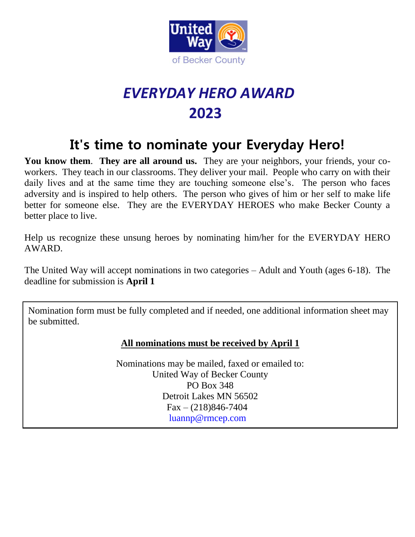

## *EVERYDAY HERO AWARD*  **2023**

## **It's time to nominate your Everyday Hero!**

**You know them**. **They are all around us.** They are your neighbors, your friends, your coworkers. They teach in our classrooms. They deliver your mail. People who carry on with their daily lives and at the same time they are touching someone else's. The person who faces adversity and is inspired to help others. The person who gives of him or her self to make life better for someone else. They are the EVERYDAY HEROES who make Becker County a better place to live.

Help us recognize these unsung heroes by nominating him/her for the EVERYDAY HERO AWARD.

The United Way will accept nominations in two categories – Adult and Youth (ages 6-18). The deadline for submission is **April 1**

 $\overline{a}$ Nomination form must be fully completed and if needed, one additional information sheet may be submitted.

## **All nominations must be received by April 1**

Nominations may be mailed, faxed or emailed to: United Way of Becker County PO Box 348 Detroit Lakes MN 56502  $Fax - (218)846 - 7404$ [luannp@rmcep.com](mailto:luannp@rmcep.com)